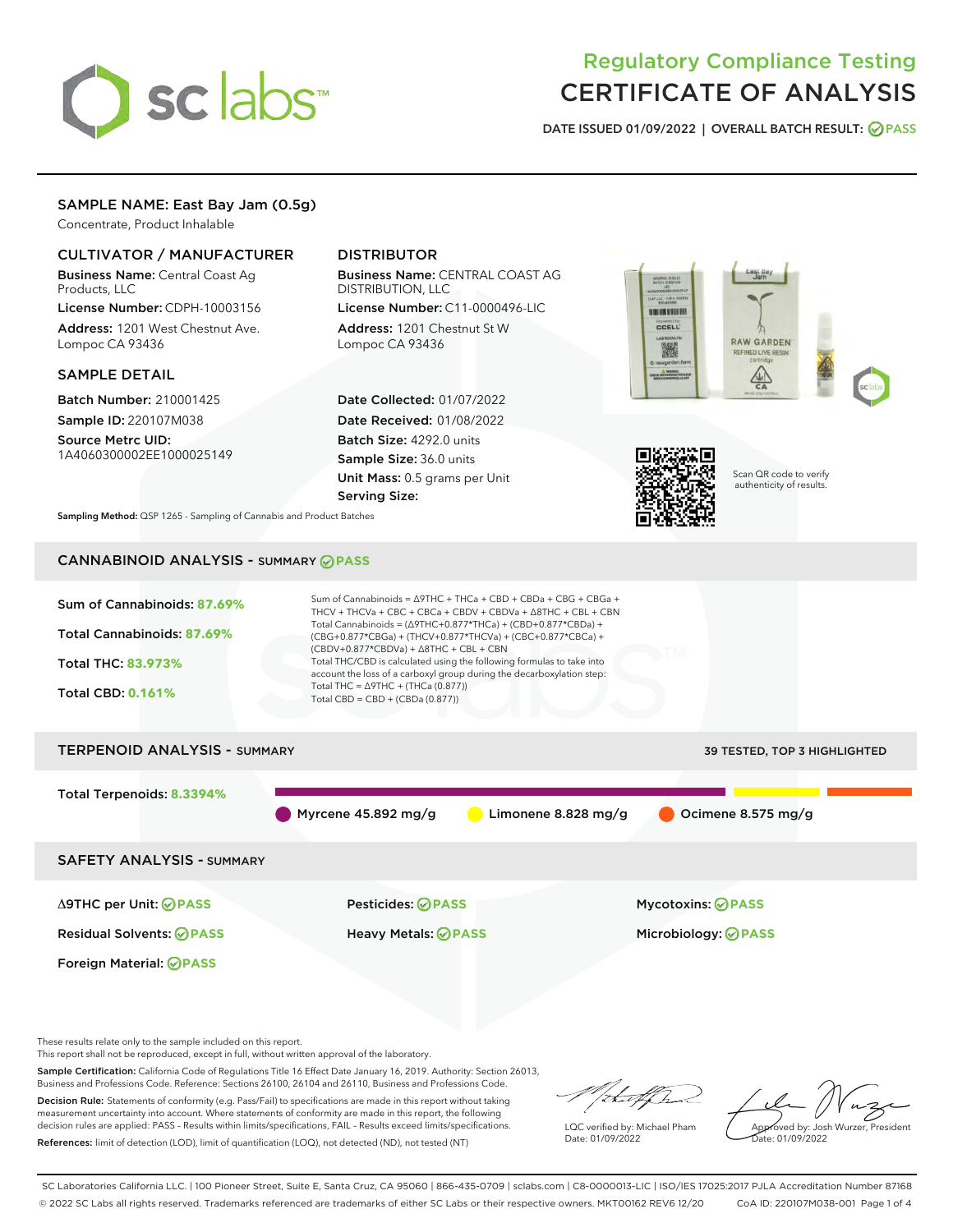# sclabs

# Regulatory Compliance Testing CERTIFICATE OF ANALYSIS

DATE ISSUED 01/09/2022 | OVERALL BATCH RESULT: @ PASS

# SAMPLE NAME: East Bay Jam (0.5g)

Concentrate, Product Inhalable

# CULTIVATOR / MANUFACTURER

Business Name: Central Coast Ag Products, LLC

License Number: CDPH-10003156 Address: 1201 West Chestnut Ave. Lompoc CA 93436

#### SAMPLE DETAIL

Batch Number: 210001425 Sample ID: 220107M038

Source Metrc UID: 1A4060300002EE1000025149

# DISTRIBUTOR

Business Name: CENTRAL COAST AG DISTRIBUTION, LLC

License Number: C11-0000496-LIC Address: 1201 Chestnut St W Lompoc CA 93436

Date Collected: 01/07/2022 Date Received: 01/08/2022 Batch Size: 4292.0 units Sample Size: 36.0 units Unit Mass: 0.5 grams per Unit Serving Size:





Scan QR code to verify authenticity of results.

Sampling Method: QSP 1265 - Sampling of Cannabis and Product Batches

# CANNABINOID ANALYSIS - SUMMARY **PASS**



These results relate only to the sample included on this report.

This report shall not be reproduced, except in full, without written approval of the laboratory.

Sample Certification: California Code of Regulations Title 16 Effect Date January 16, 2019. Authority: Section 26013, Business and Professions Code. Reference: Sections 26100, 26104 and 26110, Business and Professions Code.

Decision Rule: Statements of conformity (e.g. Pass/Fail) to specifications are made in this report without taking measurement uncertainty into account. Where statements of conformity are made in this report, the following decision rules are applied: PASS – Results within limits/specifications, FAIL – Results exceed limits/specifications. References: limit of detection (LOD), limit of quantification (LOQ), not detected (ND), not tested (NT)

that f h

LQC verified by: Michael Pham Date: 01/09/2022

Approved by: Josh Wurzer, President ate: 01/09/2022

SC Laboratories California LLC. | 100 Pioneer Street, Suite E, Santa Cruz, CA 95060 | 866-435-0709 | sclabs.com | C8-0000013-LIC | ISO/IES 17025:2017 PJLA Accreditation Number 87168 © 2022 SC Labs all rights reserved. Trademarks referenced are trademarks of either SC Labs or their respective owners. MKT00162 REV6 12/20 CoA ID: 220107M038-001 Page 1 of 4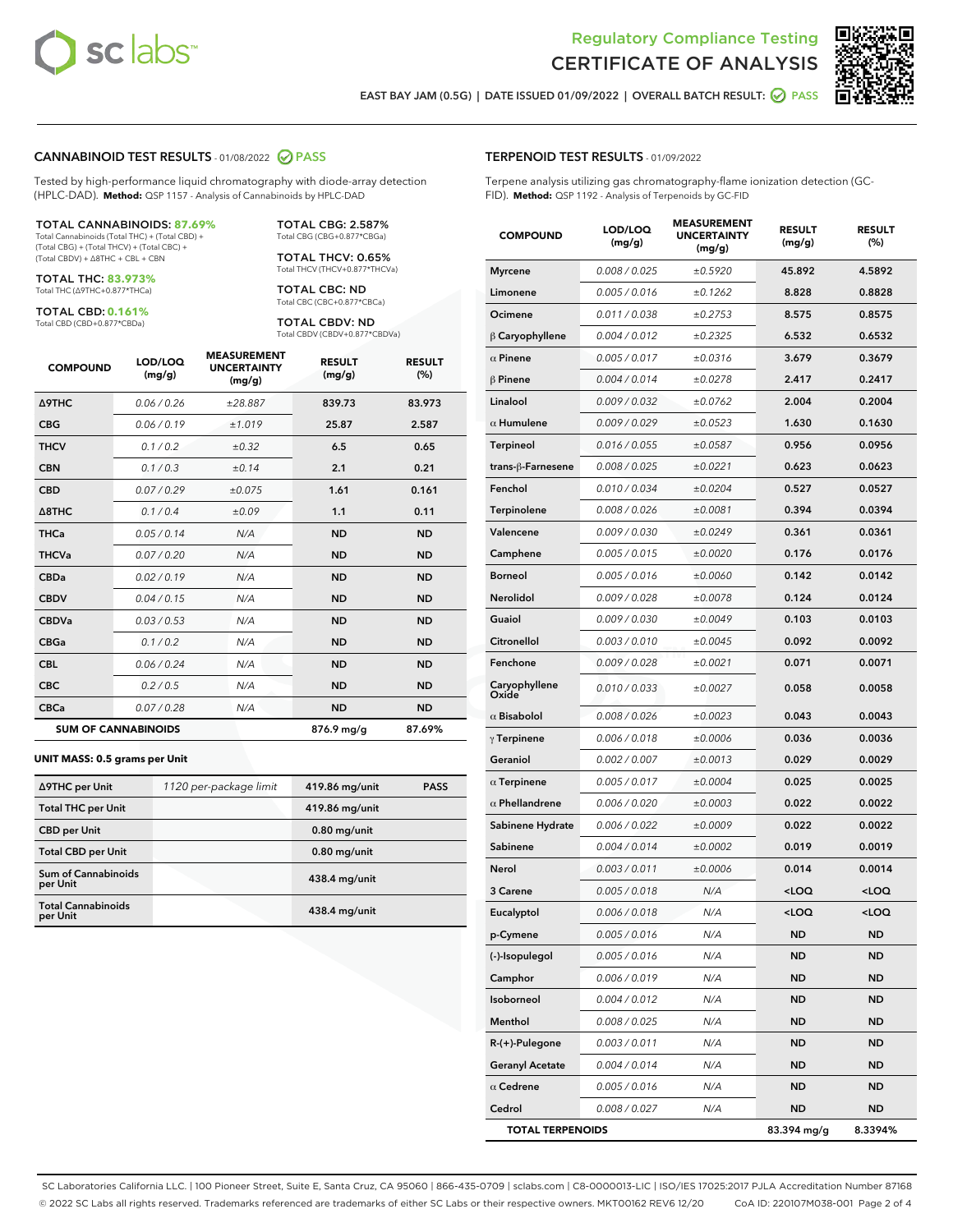



EAST BAY JAM (0.5G) | DATE ISSUED 01/09/2022 | OVERALL BATCH RESULT:  $\bigcirc$  PASS

#### CANNABINOID TEST RESULTS - 01/08/2022 2 PASS

Tested by high-performance liquid chromatography with diode-array detection (HPLC-DAD). **Method:** QSP 1157 - Analysis of Cannabinoids by HPLC-DAD

#### TOTAL CANNABINOIDS: **87.69%**

Total Cannabinoids (Total THC) + (Total CBD) + (Total CBG) + (Total THCV) + (Total CBC) + (Total CBDV) + ∆8THC + CBL + CBN

TOTAL THC: **83.973%** Total THC (∆9THC+0.877\*THCa)

TOTAL CBD: **0.161%**

Total CBD (CBD+0.877\*CBDa)

TOTAL CBG: 2.587% Total CBG (CBG+0.877\*CBGa)

TOTAL THCV: 0.65% Total THCV (THCV+0.877\*THCVa)

TOTAL CBC: ND Total CBC (CBC+0.877\*CBCa)

TOTAL CBDV: ND Total CBDV (CBDV+0.877\*CBDVa)

| <b>COMPOUND</b>            | LOD/LOQ<br>(mg/g) | <b>MEASUREMENT</b><br><b>UNCERTAINTY</b><br>(mg/g) | <b>RESULT</b><br>(mg/g) | <b>RESULT</b><br>(% ) |
|----------------------------|-------------------|----------------------------------------------------|-------------------------|-----------------------|
| <b>A9THC</b>               | 0.06 / 0.26       | ±28.887                                            | 839.73                  | 83.973                |
| <b>CBG</b>                 | 0.06/0.19         | ±1.019                                             | 25.87                   | 2.587                 |
| <b>THCV</b>                | 0.1 / 0.2         | $\pm 0.32$                                         | 6.5                     | 0.65                  |
| <b>CBN</b>                 | 0.1/0.3           | ±0.14                                              | 2.1                     | 0.21                  |
| <b>CBD</b>                 | 0.07/0.29         | ±0.075                                             | 1.61                    | 0.161                 |
| $\triangle$ 8THC           | 0.1 / 0.4         | ±0.09                                              | 1.1                     | 0.11                  |
| <b>THCa</b>                | 0.05/0.14         | N/A                                                | <b>ND</b>               | <b>ND</b>             |
| <b>THCVa</b>               | 0.07/0.20         | N/A                                                | <b>ND</b>               | <b>ND</b>             |
| <b>CBDa</b>                | 0.02/0.19         | N/A                                                | <b>ND</b>               | <b>ND</b>             |
| <b>CBDV</b>                | 0.04/0.15         | N/A                                                | <b>ND</b>               | <b>ND</b>             |
| <b>CBDVa</b>               | 0.03/0.53         | N/A                                                | <b>ND</b>               | <b>ND</b>             |
| <b>CBGa</b>                | 0.1/0.2           | N/A                                                | <b>ND</b>               | <b>ND</b>             |
| <b>CBL</b>                 | 0.06 / 0.24       | N/A                                                | <b>ND</b>               | <b>ND</b>             |
| <b>CBC</b>                 | 0.2 / 0.5         | N/A                                                | <b>ND</b>               | <b>ND</b>             |
| <b>CBCa</b>                | 0.07/0.28         | N/A                                                | <b>ND</b>               | <b>ND</b>             |
| <b>SUM OF CANNABINOIDS</b> |                   |                                                    | 876.9 mg/g              | 87.69%                |

#### **UNIT MASS: 0.5 grams per Unit**

| ∆9THC per Unit                         | 1120 per-package limit | 419.86 mg/unit  | <b>PASS</b> |
|----------------------------------------|------------------------|-----------------|-------------|
| <b>Total THC per Unit</b>              |                        | 419.86 mg/unit  |             |
| <b>CBD per Unit</b>                    |                        | $0.80$ mg/unit  |             |
| <b>Total CBD per Unit</b>              |                        | $0.80$ mg/unit  |             |
| <b>Sum of Cannabinoids</b><br>per Unit |                        | $438.4$ mg/unit |             |
| <b>Total Cannabinoids</b><br>per Unit  |                        | $438.4$ mg/unit |             |

| <b>COMPOUND</b>         | LOD/LOQ<br>(mg/g)    | 9396611<br><b>UNCERTAINTY</b><br>(mg/g) | <b>RESULT</b><br>(mg/g)                         | <b>RESULT</b><br>(%) |
|-------------------------|----------------------|-----------------------------------------|-------------------------------------------------|----------------------|
| <b>Myrcene</b>          | 0.008 / 0.025        | ±0.5920                                 | 45.892                                          | 4.5892               |
| Limonene                | 0.005 / 0.016        | ±0.1262                                 | 8.828                                           | 0.8828               |
| Ocimene                 | 0.011 / 0.038        | ±0.2753                                 | 8.575                                           | 0.8575               |
| $\beta$ Caryophyllene   | 0.004 / 0.012        | ±0.2325                                 | 6.532                                           | 0.6532               |
| $\alpha$ Pinene         | 0.005 / 0.017        | ±0.0316                                 | 3.679                                           | 0.3679               |
| $\beta$ Pinene          | 0.004 / 0.014        | ±0.0278                                 | 2.417                                           | 0.2417               |
| Linalool                | 0.009 / 0.032        | ±0.0762                                 | 2.004                                           | 0.2004               |
| $\alpha$ Humulene       | 0.009/0.029          | ±0.0523                                 | 1.630                                           | 0.1630               |
| <b>Terpineol</b>        | 0.016 / 0.055        | ±0.0587                                 | 0.956                                           | 0.0956               |
| trans-ß-Farnesene       | 0.008 / 0.025        | ±0.0221                                 | 0.623                                           | 0.0623               |
| Fenchol                 | 0.010 / 0.034        | ±0.0204                                 | 0.527                                           | 0.0527               |
| Terpinolene             | 0.008 / 0.026        | ±0.0081                                 | 0.394                                           | 0.0394               |
| Valencene               | 0.009 / 0.030        | ±0.0249                                 | 0.361                                           | 0.0361               |
| Camphene                | 0.005 / 0.015        | ±0.0020                                 | 0.176                                           | 0.0176               |
| <b>Borneol</b>          | 0.005 / 0.016        | ±0.0060                                 | 0.142                                           | 0.0142               |
| <b>Nerolidol</b>        | 0.009 / 0.028        | ±0.0078                                 | 0.124                                           | 0.0124               |
| Guaiol                  | 0.009 / 0.030        | ±0.0049                                 | 0.103                                           | 0.0103               |
| Citronellol             | <i>0.003 / 0.010</i> | ±0.0045                                 | 0.092                                           | 0.0092               |
| Fenchone                | 0.009 / 0.028        | ±0.0021                                 | 0.071                                           | 0.0071               |
| Caryophyllene<br>Oxide  | 0.010 / 0.033        | ±0.0027                                 | 0.058                                           | 0.0058               |
| $\alpha$ Bisabolol      | 0.008 / 0.026        | ±0.0023                                 | 0.043                                           | 0.0043               |
| $\gamma$ Terpinene      | 0.006 / 0.018        | ±0.0006                                 | 0.036                                           | 0.0036               |
| Geraniol                | 0.002 / 0.007        | ±0.0013                                 | 0.029                                           | 0.0029               |
| $\alpha$ Terpinene      | 0.005 / 0.017        | ±0.0004                                 | 0.025                                           | 0.0025               |
| $\alpha$ Phellandrene   | 0.006 / 0.020        | ±0.0003                                 | 0.022                                           | 0.0022               |
| Sabinene Hydrate        | 0.006 / 0.022        | ±0.0009                                 | 0.022                                           | 0.0022               |
| Sabinene                | 0.004 / 0.014        | ±0.0002                                 | 0.019                                           | 0.0019               |
| Nerol                   | 0.003 / 0.011        | ±0.0006                                 | 0.014                                           | 0.0014               |
| 3 Carene                | 0.005 / 0.018        | N/A                                     | <loq< th=""><th><loq< th=""></loq<></th></loq<> | <loq< th=""></loq<>  |
| Eucalyptol              | 0.006 / 0.018        | N/A                                     | <loq< th=""><th><loq< th=""></loq<></th></loq<> | <loq< th=""></loq<>  |
| p-Cymene                | 0.005 / 0.016        | N/A                                     | ND                                              | ND                   |
| (-)-Isopulegol          | 0.005 / 0.016        | N/A                                     | ND                                              | ND                   |
| Camphor                 | 0.006 / 0.019        | N/A                                     | ND                                              | ND                   |
| Isoborneol              | 0.004 / 0.012        | N/A                                     | ND                                              | ND                   |
| Menthol                 | 0.008 / 0.025        | N/A                                     | ND                                              | ND                   |
| $R-(+)$ -Pulegone       | 0.003 / 0.011        | N/A                                     | ND                                              | ND                   |
| <b>Geranyl Acetate</b>  | 0.004 / 0.014        | N/A                                     | ND                                              | ND                   |
| $\alpha$ Cedrene        | 0.005 / 0.016        | N/A                                     | ND                                              | ND                   |
| Cedrol                  | 0.008 / 0.027        | N/A                                     | ND                                              | ND                   |
| <b>TOTAL TERPENOIDS</b> |                      |                                         | 83.394 mg/g                                     | 8.3394%              |

SC Laboratories California LLC. | 100 Pioneer Street, Suite E, Santa Cruz, CA 95060 | 866-435-0709 | sclabs.com | C8-0000013-LIC | ISO/IES 17025:2017 PJLA Accreditation Number 87168 © 2022 SC Labs all rights reserved. Trademarks referenced are trademarks of either SC Labs or their respective owners. MKT00162 REV6 12/20 CoA ID: 220107M038-001 Page 2 of 4

# TERPENOID TEST RESULTS - 01/09/2022

Terpene analysis utilizing gas chromatography-flame ionization detection (GC-FID). **Method:** QSP 1192 - Analysis of Terpenoids by GC-FID

MEACUREMENT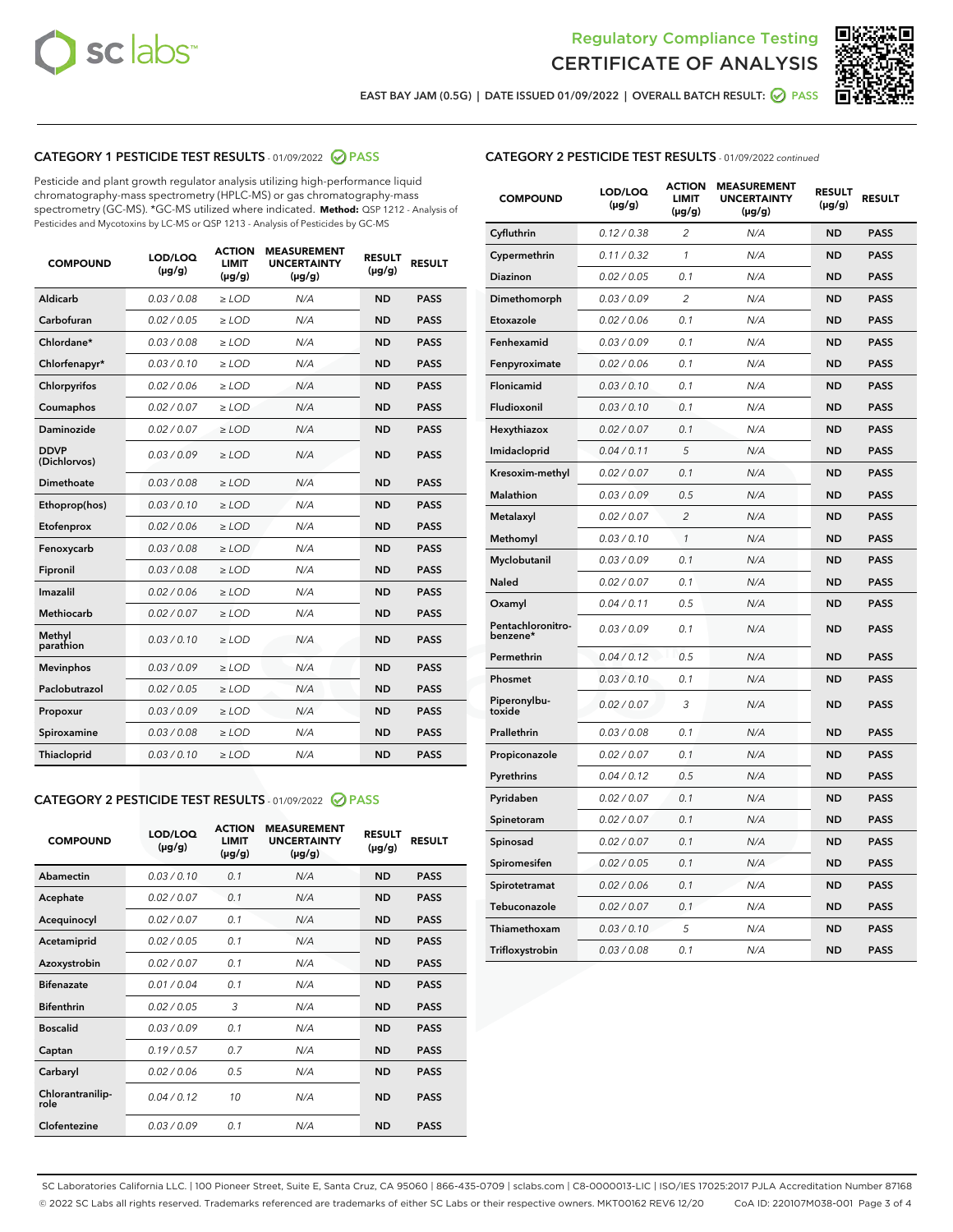



EAST BAY JAM (0.5G) | DATE ISSUED 01/09/2022 | OVERALL BATCH RESULT:  $\bigcirc$  PASS

# CATEGORY 1 PESTICIDE TEST RESULTS - 01/09/2022 2 PASS

Pesticide and plant growth regulator analysis utilizing high-performance liquid chromatography-mass spectrometry (HPLC-MS) or gas chromatography-mass spectrometry (GC-MS). \*GC-MS utilized where indicated. **Method:** QSP 1212 - Analysis of Pesticides and Mycotoxins by LC-MS or QSP 1213 - Analysis of Pesticides by GC-MS

| <b>COMPOUND</b>             | LOD/LOQ<br>$(\mu g/g)$ | <b>ACTION</b><br><b>LIMIT</b><br>$(\mu g/g)$ | <b>MEASUREMENT</b><br><b>UNCERTAINTY</b><br>$(\mu g/g)$ | <b>RESULT</b><br>$(\mu g/g)$ | <b>RESULT</b> |
|-----------------------------|------------------------|----------------------------------------------|---------------------------------------------------------|------------------------------|---------------|
| Aldicarb                    | 0.03 / 0.08            | $\ge$ LOD                                    | N/A                                                     | <b>ND</b>                    | <b>PASS</b>   |
| Carbofuran                  | 0.02/0.05              | $>$ LOD                                      | N/A                                                     | <b>ND</b>                    | <b>PASS</b>   |
| Chlordane*                  | 0.03 / 0.08            | $\ge$ LOD                                    | N/A                                                     | <b>ND</b>                    | <b>PASS</b>   |
| Chlorfenapyr*               | 0.03/0.10              | $\ge$ LOD                                    | N/A                                                     | <b>ND</b>                    | <b>PASS</b>   |
| Chlorpyrifos                | 0.02 / 0.06            | $\ge$ LOD                                    | N/A                                                     | <b>ND</b>                    | <b>PASS</b>   |
| Coumaphos                   | 0.02/0.07              | $>$ LOD                                      | N/A                                                     | <b>ND</b>                    | <b>PASS</b>   |
| <b>Daminozide</b>           | 0.02 / 0.07            | $\ge$ LOD                                    | N/A                                                     | <b>ND</b>                    | <b>PASS</b>   |
| <b>DDVP</b><br>(Dichlorvos) | 0.03/0.09              | $\ge$ LOD                                    | N/A                                                     | <b>ND</b>                    | <b>PASS</b>   |
| <b>Dimethoate</b>           | 0.03 / 0.08            | $\ge$ LOD                                    | N/A                                                     | <b>ND</b>                    | <b>PASS</b>   |
| Ethoprop(hos)               | 0.03/0.10              | $\ge$ LOD                                    | N/A                                                     | <b>ND</b>                    | <b>PASS</b>   |
| Etofenprox                  | 0.02 / 0.06            | $\ge$ LOD                                    | N/A                                                     | <b>ND</b>                    | <b>PASS</b>   |
| Fenoxycarb                  | 0.03 / 0.08            | $\ge$ LOD                                    | N/A                                                     | <b>ND</b>                    | <b>PASS</b>   |
| Fipronil                    | 0.03/0.08              | $>$ LOD                                      | N/A                                                     | <b>ND</b>                    | <b>PASS</b>   |
| Imazalil                    | 0.02 / 0.06            | $\ge$ LOD                                    | N/A                                                     | <b>ND</b>                    | <b>PASS</b>   |
| Methiocarb                  | 0.02 / 0.07            | $\ge$ LOD                                    | N/A                                                     | <b>ND</b>                    | <b>PASS</b>   |
| Methyl<br>parathion         | 0.03/0.10              | $>$ LOD                                      | N/A                                                     | <b>ND</b>                    | <b>PASS</b>   |
| <b>Mevinphos</b>            | 0.03/0.09              | $>$ LOD                                      | N/A                                                     | <b>ND</b>                    | <b>PASS</b>   |
| Paclobutrazol               | 0.02 / 0.05            | $\ge$ LOD                                    | N/A                                                     | <b>ND</b>                    | <b>PASS</b>   |
| Propoxur                    | 0.03/0.09              | $>$ LOD                                      | N/A                                                     | <b>ND</b>                    | <b>PASS</b>   |
| Spiroxamine                 | 0.03 / 0.08            | $\ge$ LOD                                    | N/A                                                     | <b>ND</b>                    | <b>PASS</b>   |
| Thiacloprid                 | 0.03/0.10              | $\ge$ LOD                                    | N/A                                                     | <b>ND</b>                    | <b>PASS</b>   |

#### CATEGORY 2 PESTICIDE TEST RESULTS - 01/09/2022 2 PASS

| <b>COMPOUND</b>          | LOD/LOO<br>$(\mu g/g)$ | <b>ACTION</b><br>LIMIT<br>$(\mu g/g)$ | <b>MEASUREMENT</b><br><b>UNCERTAINTY</b><br>$(\mu g/g)$ | <b>RESULT</b><br>$(\mu g/g)$ | <b>RESULT</b> |  |
|--------------------------|------------------------|---------------------------------------|---------------------------------------------------------|------------------------------|---------------|--|
| Abamectin                | 0.03/0.10              | 0.1                                   | N/A                                                     | <b>ND</b>                    | <b>PASS</b>   |  |
| Acephate                 | 0.02/0.07              | 0.1                                   | N/A                                                     | <b>ND</b>                    | <b>PASS</b>   |  |
| Acequinocyl              | 0.02/0.07              | 0.1                                   | N/A                                                     | <b>ND</b>                    | <b>PASS</b>   |  |
| Acetamiprid              | 0.02 / 0.05            | 0.1                                   | N/A                                                     | <b>ND</b>                    | <b>PASS</b>   |  |
| Azoxystrobin             | 0.02/0.07              | 0.1                                   | N/A                                                     | <b>ND</b>                    | <b>PASS</b>   |  |
| <b>Bifenazate</b>        | 0.01 / 0.04            | 0.1                                   | N/A                                                     | <b>ND</b>                    | <b>PASS</b>   |  |
| <b>Bifenthrin</b>        | 0.02 / 0.05            | 3                                     | N/A                                                     | <b>ND</b>                    | <b>PASS</b>   |  |
| <b>Boscalid</b>          | 0.03/0.09              | 0.1                                   | N/A                                                     | <b>ND</b>                    | <b>PASS</b>   |  |
| Captan                   | 0.19/0.57              | 0.7                                   | N/A                                                     | <b>ND</b>                    | <b>PASS</b>   |  |
| Carbaryl                 | 0.02/0.06              | 0.5                                   | N/A                                                     | <b>ND</b>                    | <b>PASS</b>   |  |
| Chlorantranilip-<br>role | 0.04/0.12              | 10                                    | N/A                                                     | <b>ND</b>                    | <b>PASS</b>   |  |
| Clofentezine             | 0.03/0.09              | 0.1                                   | N/A                                                     | <b>ND</b>                    | <b>PASS</b>   |  |

| <b>CATEGORY 2 PESTICIDE TEST RESULTS</b> - 01/09/2022 continued |  |
|-----------------------------------------------------------------|--|
|                                                                 |  |

| <b>COMPOUND</b>               | LOD/LOQ<br>$(\mu g/g)$ | <b>ACTION</b><br>LIMIT<br>(µg/g) | <b>MEASUREMENT</b><br><b>UNCERTAINTY</b><br>(µg/g) | <b>RESULT</b><br>$(\mu g/g)$ | <b>RESULT</b> |
|-------------------------------|------------------------|----------------------------------|----------------------------------------------------|------------------------------|---------------|
| Cyfluthrin                    | 0.12 / 0.38            | $\overline{c}$                   | N/A                                                | ND                           | <b>PASS</b>   |
| Cypermethrin                  | 0.11 / 0.32            | 1                                | N/A                                                | <b>ND</b>                    | <b>PASS</b>   |
| Diazinon                      | 0.02 / 0.05            | 0.1                              | N/A                                                | <b>ND</b>                    | <b>PASS</b>   |
| Dimethomorph                  | 0.03 / 0.09            | 2                                | N/A                                                | <b>ND</b>                    | <b>PASS</b>   |
| Etoxazole                     | 0.02 / 0.06            | 0.1                              | N/A                                                | <b>ND</b>                    | <b>PASS</b>   |
| Fenhexamid                    | 0.03 / 0.09            | 0.1                              | N/A                                                | <b>ND</b>                    | <b>PASS</b>   |
| Fenpyroximate                 | 0.02 / 0.06            | 0.1                              | N/A                                                | <b>ND</b>                    | <b>PASS</b>   |
| Flonicamid                    | 0.03 / 0.10            | 0.1                              | N/A                                                | <b>ND</b>                    | <b>PASS</b>   |
| Fludioxonil                   | 0.03/0.10              | 0.1                              | N/A                                                | <b>ND</b>                    | <b>PASS</b>   |
| Hexythiazox                   | 0.02 / 0.07            | 0.1                              | N/A                                                | <b>ND</b>                    | <b>PASS</b>   |
| Imidacloprid                  | 0.04 / 0.11            | 5                                | N/A                                                | <b>ND</b>                    | <b>PASS</b>   |
| Kresoxim-methyl               | 0.02 / 0.07            | 0.1                              | N/A                                                | ND                           | <b>PASS</b>   |
| <b>Malathion</b>              | 0.03 / 0.09            | 0.5                              | N/A                                                | <b>ND</b>                    | <b>PASS</b>   |
| Metalaxyl                     | 0.02 / 0.07            | $\overline{c}$                   | N/A                                                | <b>ND</b>                    | <b>PASS</b>   |
| Methomyl                      | 0.03 / 0.10            | 1                                | N/A                                                | ND                           | <b>PASS</b>   |
| Myclobutanil                  | 0.03 / 0.09            | 0.1                              | N/A                                                | <b>ND</b>                    | <b>PASS</b>   |
| Naled                         | 0.02 / 0.07            | 0.1                              | N/A                                                | <b>ND</b>                    | <b>PASS</b>   |
| Oxamyl                        | 0.04 / 0.11            | 0.5                              | N/A                                                | <b>ND</b>                    | <b>PASS</b>   |
| Pentachloronitro-<br>benzene* | 0.03 / 0.09            | 0.1                              | N/A                                                | <b>ND</b>                    | <b>PASS</b>   |
| Permethrin                    | 0.04 / 0.12            | 0.5                              | N/A                                                | ND                           | <b>PASS</b>   |
| Phosmet                       | 0.03 / 0.10            | 0.1                              | N/A                                                | <b>ND</b>                    | <b>PASS</b>   |
| Piperonylbu-<br>toxide        | 0.02 / 0.07            | 3                                | N/A                                                | <b>ND</b>                    | <b>PASS</b>   |
| Prallethrin                   | 0.03 / 0.08            | 0.1                              | N/A                                                | <b>ND</b>                    | <b>PASS</b>   |
| Propiconazole                 | 0.02 / 0.07            | 0.1                              | N/A                                                | <b>ND</b>                    | <b>PASS</b>   |
| Pyrethrins                    | 0.04 / 0.12            | 0.5                              | N/A                                                | <b>ND</b>                    | <b>PASS</b>   |
| Pyridaben                     | 0.02 / 0.07            | 0.1                              | N/A                                                | <b>ND</b>                    | <b>PASS</b>   |
| Spinetoram                    | 0.02 / 0.07            | 0.1                              | N/A                                                | ND                           | <b>PASS</b>   |
| Spinosad                      | 0.02 / 0.07            | 0.1                              | N/A                                                | <b>ND</b>                    | <b>PASS</b>   |
| Spiromesifen                  | 0.02 / 0.05            | 0.1                              | N/A                                                | <b>ND</b>                    | <b>PASS</b>   |
| Spirotetramat                 | 0.02 / 0.06            | 0.1                              | N/A                                                | ND                           | <b>PASS</b>   |
| Tebuconazole                  | 0.02 / 0.07            | 0.1                              | N/A                                                | ND                           | PASS          |
| Thiamethoxam                  | 0.03 / 0.10            | 5                                | N/A                                                | <b>ND</b>                    | <b>PASS</b>   |
| Trifloxystrobin               | 0.03 / 0.08            | 0.1                              | N/A                                                | <b>ND</b>                    | <b>PASS</b>   |

SC Laboratories California LLC. | 100 Pioneer Street, Suite E, Santa Cruz, CA 95060 | 866-435-0709 | sclabs.com | C8-0000013-LIC | ISO/IES 17025:2017 PJLA Accreditation Number 87168 © 2022 SC Labs all rights reserved. Trademarks referenced are trademarks of either SC Labs or their respective owners. MKT00162 REV6 12/20 CoA ID: 220107M038-001 Page 3 of 4